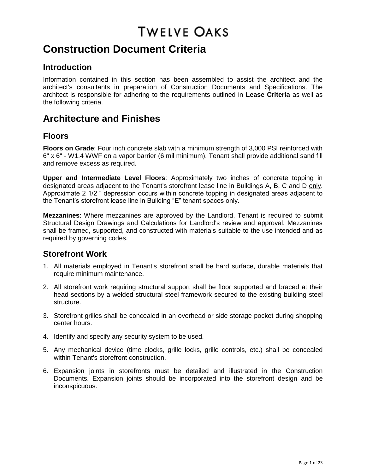# **Construction Document Criteria**

### **Introduction**

Information contained in this section has been assembled to assist the architect and the architect's consultants in preparation of Construction Documents and Specifications. The architect is responsible for adhering to the requirements outlined in **Lease Criteria** as well as the following criteria.

# **Architecture and Finishes**

## **Floors**

**Floors on Grade**: Four inch concrete slab with a minimum strength of 3,000 PSI reinforced with 6" x 6" - W1.4 WWF on a vapor barrier (6 mil minimum). Tenant shall provide additional sand fill and remove excess as required.

**Upper and Intermediate Level Floors**: Approximately two inches of concrete topping in designated areas adjacent to the Tenant's storefront lease line in Buildings A, B, C and D only. Approximate 2 1/2 " depression occurs within concrete topping in designated areas adjacent to the Tenant's storefront lease line in Building "E" tenant spaces only.

**Mezzanines**: Where mezzanines are approved by the Landlord, Tenant is required to submit Structural Design Drawings and Calculations for Landlord's review and approval. Mezzanines shall be framed, supported, and constructed with materials suitable to the use intended and as required by governing codes.

## **Storefront Work**

- 1. All materials employed in Tenant's storefront shall be hard surface, durable materials that require minimum maintenance.
- 2. All storefront work requiring structural support shall be floor supported and braced at their head sections by a welded structural steel framework secured to the existing building steel structure.
- 3. Storefront grilles shall be concealed in an overhead or side storage pocket during shopping center hours.
- 4. Identify and specify any security system to be used.
- 5. Any mechanical device (time clocks, grille locks, grille controls, etc.) shall be concealed within Tenant's storefront construction.
- 6. Expansion joints in storefronts must be detailed and illustrated in the Construction Documents. Expansion joints should be incorporated into the storefront design and be inconspicuous.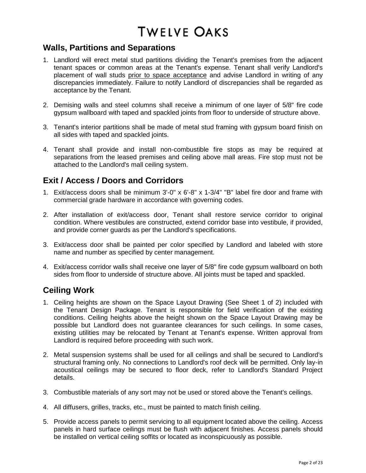## **Walls, Partitions and Separations**

- 1. Landlord will erect metal stud partitions dividing the Tenant's premises from the adjacent tenant spaces or common areas at the Tenant's expense. Tenant shall verify Landlord's placement of wall studs prior to space acceptance and advise Landlord in writing of any discrepancies immediately. Failure to notify Landlord of discrepancies shall be regarded as acceptance by the Tenant.
- 2. Demising walls and steel columns shall receive a minimum of one layer of 5/8" fire code gypsum wallboard with taped and spackled joints from floor to underside of structure above.
- 3. Tenant's interior partitions shall be made of metal stud framing with gypsum board finish on all sides with taped and spackled joints.
- 4. Tenant shall provide and install non-combustible fire stops as may be required at separations from the leased premises and ceiling above mall areas. Fire stop must not be attached to the Landlord's mall ceiling system.

# **Exit / Access / Doors and Corridors**

- 1. Exit/access doors shall be minimum 3'-0" x 6'-8" x 1-3/4" "B" label fire door and frame with commercial grade hardware in accordance with governing codes.
- 2. After installation of exit/access door, Tenant shall restore service corridor to original condition. Where vestibules are constructed, extend corridor base into vestibule, if provided, and provide corner guards as per the Landlord's specifications.
- 3. Exit/access door shall be painted per color specified by Landlord and labeled with store name and number as specified by center management.
- 4. Exit/access corridor walls shall receive one layer of 5/8" fire code gypsum wallboard on both sides from floor to underside of structure above. All joints must be taped and spackled.

## **Ceiling Work**

- 1. Ceiling heights are shown on the Space Layout Drawing (See Sheet 1 of 2) included with the Tenant Design Package. Tenant is responsible for field verification of the existing conditions. Ceiling heights above the height shown on the Space Layout Drawing may be possible but Landlord does not guarantee clearances for such ceilings. In some cases, existing utilities may be relocated by Tenant at Tenant's expense. Written approval from Landlord is required before proceeding with such work.
- 2. Metal suspension systems shall be used for all ceilings and shall be secured to Landlord's structural framing only. No connections to Landlord's roof deck will be permitted. Only lay-in acoustical ceilings may be secured to floor deck, refer to Landlord's Standard Project details.
- 3. Combustible materials of any sort may not be used or stored above the Tenant's ceilings.
- 4. All diffusers, grilles, tracks, etc., must be painted to match finish ceiling.
- 5. Provide access panels to permit servicing to all equipment located above the ceiling. Access panels in hard surface ceilings must be flush with adjacent finishes. Access panels should be installed on vertical ceiling soffits or located as inconspicuously as possible.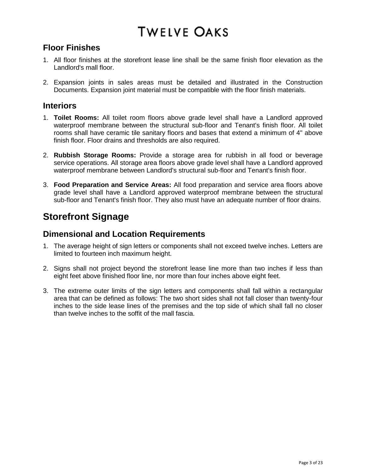## **Floor Finishes**

- 1. All floor finishes at the storefront lease line shall be the same finish floor elevation as the Landlord's mall floor.
- 2. Expansion joints in sales areas must be detailed and illustrated in the Construction Documents. Expansion joint material must be compatible with the floor finish materials.

### **Interiors**

- 1. **Toilet Rooms:** All toilet room floors above grade level shall have a Landlord approved waterproof membrane between the structural sub-floor and Tenant's finish floor. All toilet rooms shall have ceramic tile sanitary floors and bases that extend a minimum of 4" above finish floor. Floor drains and thresholds are also required.
- 2. **Rubbish Storage Rooms:** Provide a storage area for rubbish in all food or beverage service operations. All storage area floors above grade level shall have a Landlord approved waterproof membrane between Landlord's structural sub-floor and Tenant's finish floor.
- 3. **Food Preparation and Service Areas:** All food preparation and service area floors above grade level shall have a Landlord approved waterproof membrane between the structural sub-floor and Tenant's finish floor. They also must have an adequate number of floor drains.

# **Storefront Signage**

## **Dimensional and Location Requirements**

- 1. The average height of sign letters or components shall not exceed twelve inches. Letters are limited to fourteen inch maximum height.
- 2. Signs shall not project beyond the storefront lease line more than two inches if less than eight feet above finished floor line, nor more than four inches above eight feet.
- 3. The extreme outer limits of the sign letters and components shall fall within a rectangular area that can be defined as follows: The two short sides shall not fall closer than twenty-four inches to the side lease lines of the premises and the top side of which shall fall no closer than twelve inches to the soffit of the mall fascia.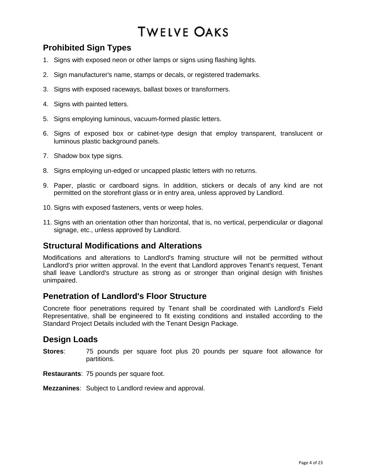# **Prohibited Sign Types**

- 1. Signs with exposed neon or other lamps or signs using flashing lights.
- 2. Sign manufacturer's name, stamps or decals, or registered trademarks.
- 3. Signs with exposed raceways, ballast boxes or transformers.
- 4. Signs with painted letters.
- 5. Signs employing luminous, vacuum-formed plastic letters.
- 6. Signs of exposed box or cabinet-type design that employ transparent, translucent or luminous plastic background panels.
- 7. Shadow box type signs.
- 8. Signs employing un-edged or uncapped plastic letters with no returns.
- 9. Paper, plastic or cardboard signs. In addition, stickers or decals of any kind are not permitted on the storefront glass or in entry area, unless approved by Landlord.
- 10. Signs with exposed fasteners, vents or weep holes.
- 11. Signs with an orientation other than horizontal, that is, no vertical, perpendicular or diagonal signage, etc., unless approved by Landlord.

## **Structural Modifications and Alterations**

Modifications and alterations to Landlord's framing structure will not be permitted without Landlord's prior written approval. In the event that Landlord approves Tenant's request, Tenant shall leave Landlord's structure as strong as or stronger than original design with finishes unimpaired.

## **Penetration of Landlord's Floor Structure**

Concrete floor penetrations required by Tenant shall be coordinated with Landlord's Field Representative, shall be engineered to fit existing conditions and installed according to the Standard Project Details included with the Tenant Design Package.

### **Design Loads**

- **Stores**: 75 pounds per square foot plus 20 pounds per square foot allowance for partitions.
- **Restaurants**: 75 pounds per square foot.

**Mezzanines**: Subject to Landlord review and approval.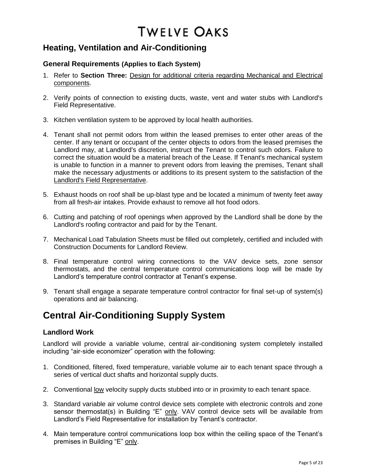## **Heating, Ventilation and Air-Conditioning**

#### **General Requirements (Applies to Each System)**

- 1. Refer to **Section Three:** Design for additional criteria regarding Mechanical and Electrical components.
- 2. Verify points of connection to existing ducts, waste, vent and water stubs with Landlord's Field Representative.
- 3. Kitchen ventilation system to be approved by local health authorities.
- 4. Tenant shall not permit odors from within the leased premises to enter other areas of the center. If any tenant or occupant of the center objects to odors from the leased premises the Landlord may, at Landlord's discretion, instruct the Tenant to control such odors. Failure to correct the situation would be a material breach of the Lease. If Tenant's mechanical system is unable to function in a manner to prevent odors from leaving the premises, Tenant shall make the necessary adjustments or additions to its present system to the satisfaction of the Landlord's Field Representative.
- 5. Exhaust hoods on roof shall be up-blast type and be located a minimum of twenty feet away from all fresh-air intakes. Provide exhaust to remove all hot food odors.
- 6. Cutting and patching of roof openings when approved by the Landlord shall be done by the Landlord's roofing contractor and paid for by the Tenant.
- 7. Mechanical Load Tabulation Sheets must be filled out completely, certified and included with Construction Documents for Landlord Review.
- 8. Final temperature control wiring connections to the VAV device sets, zone sensor thermostats, and the central temperature control communications loop will be made by Landlord's temperature control contractor at Tenant's expense.
- 9. Tenant shall engage a separate temperature control contractor for final set-up of system(s) operations and air balancing.

# **Central Air-Conditioning Supply System**

#### **Landlord Work**

Landlord will provide a variable volume, central air-conditioning system completely installed including "air-side economizer" operation with the following:

- 1. Conditioned, filtered, fixed temperature, variable volume air to each tenant space through a series of vertical duct shafts and horizontal supply ducts.
- 2. Conventional low velocity supply ducts stubbed into or in proximity to each tenant space.
- 3. Standard variable air volume control device sets complete with electronic controls and zone sensor thermostat(s) in Building "E" only. VAV control device sets will be available from Landlord's Field Representative for installation by Tenant's contractor.
- 4. Main temperature control communications loop box within the ceiling space of the Tenant's premises in Building "E" only.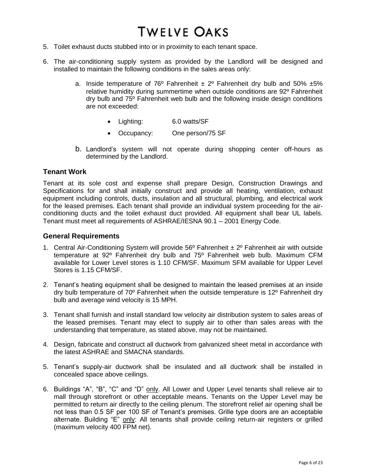- 5. Toilet exhaust ducts stubbed into or in proximity to each tenant space.
- 6. The air-conditioning supply system as provided by the Landlord will be designed and installed to maintain the following conditions in the sales areas only:
	- a. Inside temperature of 76<sup>o</sup> Fahrenheit  $\pm 2^{\circ}$  Fahrenheit dry bulb and 50%  $\pm$ 5% relative humidity during summertime when outside conditions are 92º Fahrenheit dry bulb and 75º Fahrenheit web bulb and the following inside design conditions are not exceeded:
		- Lighting: 6.0 watts/SF
		- Occupancy: One person/75 SF
	- b. Landlord's system will not operate during shopping center off-hours as determined by the Landlord.

#### **Tenant Work**

Tenant at its sole cost and expense shall prepare Design, Construction Drawings and Specifications for and shall initially construct and provide all heating, ventilation, exhaust equipment including controls, ducts, insulation and all structural, plumbing, and electrical work for the leased premises. Each tenant shall provide an individual system proceeding for the airconditioning ducts and the toilet exhaust duct provided. All equipment shall bear UL labels. Tenant must meet all requirements of ASHRAE/IESNA 90.1 – 2001 Energy Code.

#### **General Requirements**

- 1. Central Air-Conditioning System will provide  $56^{\circ}$  Fahrenheit  $\pm 2^{\circ}$  Fahrenheit air with outside temperature at 92º Fahrenheit dry bulb and 75º Fahrenheit web bulb. Maximum CFM available for Lower Level stores is 1.10 CFM/SF. Maximum SFM available for Upper Level Stores is 1.15 CFM/SF.
- 2. Tenant's heating equipment shall be designed to maintain the leased premises at an inside dry bulb temperature of 70º Fahrenheit when the outside temperature is 12º Fahrenheit dry bulb and average wind velocity is 15 MPH.
- 3. Tenant shall furnish and install standard low velocity air distribution system to sales areas of the leased premises. Tenant may elect to supply air to other than sales areas with the understanding that temperature, as stated above, may not be maintained.
- 4. Design, fabricate and construct all ductwork from galvanized sheet metal in accordance with the latest ASHRAE and SMACNA standards.
- 5. Tenant's supply-air ductwork shall be insulated and all ductwork shall be installed in concealed space above ceilings.
- 6. Buildings "A", "B", "C" and "D" only. All Lower and Upper Level tenants shall relieve air to mall through storefront or other acceptable means. Tenants on the Upper Level may be permitted to return air directly to the ceiling plenum. The storefront relief air opening shall be not less than 0.5 SF per 100 SF of Tenant's premises. Grille type doors are an acceptable alternate. Building "E" only: All tenants shall provide ceiling return-air registers or grilled (maximum velocity 400 FPM net).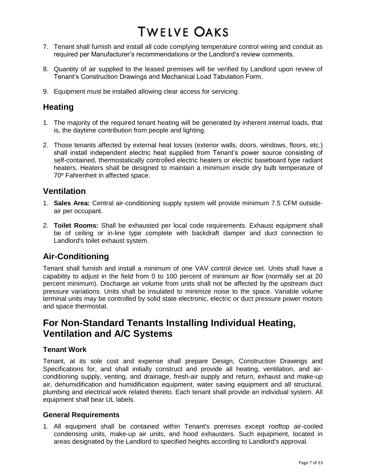- 7. Tenant shall furnish and install all code complying temperature control wiring and conduit as required per Manufacturer's recommendations or the Landlord's review comments.
- 8. Quantity of air supplied to the leased premises will be verified by Landlord upon review of Tenant's Construction Drawings and Mechanical Load Tabulation Form.
- 9. Equipment must be installed allowing clear access for servicing.

## **Heating**

- 1. The majority of the required tenant heating will be generated by inherent internal loads, that is, the daytime contribution from people and lighting.
- 2. Those tenants affected by external heat losses (exterior walls, doors, windows, floors, etc.) shall install independent electric heat supplied from Tenant's power source consisting of self-contained, thermostatically controlled electric heaters or electric baseboard type radiant heaters. Heaters shall be designed to maintain a minimum inside dry bulb temperature of 70º Fahrenheit in affected space.

## **Ventilation**

- 1. **Sales Area:** Central air-conditioning supply system will provide minimum 7.5 CFM outsideair per occupant.
- 2. **Toilet Rooms:** Shall be exhausted per local code requirements. Exhaust equipment shall be of ceiling or in-line type complete with backdraft damper and duct connection to Landlord's toilet exhaust system.

## **Air-Conditioning**

Tenant shall furnish and install a minimum of one VAV control device set. Units shall have a capability to adjust in the field from 0 to 100 percent of minimum air flow (normally set at 20 percent minimum). Discharge air volume from units shall not be affected by the upstream duct pressure variations. Units shall be insulated to minimize noise to the space. Variable volume terminal units may be controlled by solid state electronic, electric or duct pressure power motors and space thermostat.

# **For Non-Standard Tenants Installing Individual Heating, Ventilation and A/C Systems**

#### **Tenant Work**

Tenant, at its sole cost and expense shall prepare Design, Construction Drawings and Specifications for, and shall initially construct and provide all heating, ventilation, and airconditioning supply, venting, and drainage, fresh-air supply and return, exhaust and make-up air, dehumidification and humidification equipment, water saving equipment and all structural, plumbing and electrical work related thereto. Each tenant shall provide an individual system. All equipment shall bear UL labels.

#### **General Requirements**

1. All equipment shall be contained within Tenant's premises except rooftop air-cooled condensing units, make-up air units, and hood exhausters. Such equipment, located in areas designated by the Landlord to specified heights according to Landlord's approval.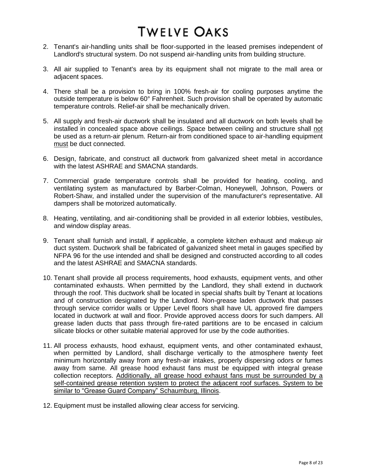- 2. Tenant's air-handling units shall be floor-supported in the leased premises independent of Landlord's structural system. Do not suspend air-handling units from building structure.
- 3. All air supplied to Tenant's area by its equipment shall not migrate to the mall area or adjacent spaces.
- 4. There shall be a provision to bring in 100% fresh-air for cooling purposes anytime the outside temperature is below 60° Fahrenheit. Such provision shall be operated by automatic temperature controls. Relief-air shall be mechanically driven.
- 5. All supply and fresh-air ductwork shall be insulated and all ductwork on both levels shall be installed in concealed space above ceilings. Space between ceiling and structure shall not be used as a return-air plenum. Return-air from conditioned space to air-handling equipment must be duct connected.
- 6. Design, fabricate, and construct all ductwork from galvanized sheet metal in accordance with the latest ASHRAE and SMACNA standards.
- 7. Commercial grade temperature controls shall be provided for heating, cooling, and ventilating system as manufactured by Barber-Colman, Honeywell, Johnson, Powers or Robert-Shaw, and installed under the supervision of the manufacturer's representative. All dampers shall be motorized automatically.
- 8. Heating, ventilating, and air-conditioning shall be provided in all exterior lobbies, vestibules, and window display areas.
- 9. Tenant shall furnish and install, if applicable, a complete kitchen exhaust and makeup air duct system. Ductwork shall be fabricated of galvanized sheet metal in gauges specified by NFPA 96 for the use intended and shall be designed and constructed according to all codes and the latest ASHRAE and SMACNA standards.
- 10. Tenant shall provide all process requirements, hood exhausts, equipment vents, and other contaminated exhausts. When permitted by the Landlord, they shall extend in ductwork through the roof. This ductwork shall be located in special shafts built by Tenant at locations and of construction designated by the Landlord. Non-grease laden ductwork that passes through service corridor walls or Upper Level floors shall have UL approved fire dampers located in ductwork at wall and floor. Provide approved access doors for such dampers. All grease laden ducts that pass through fire-rated partitions are to be encased in calcium silicate blocks or other suitable material approved for use by the code authorities.
- 11. All process exhausts, hood exhaust, equipment vents, and other contaminated exhaust, when permitted by Landlord, shall discharge vertically to the atmosphere twenty feet minimum horizontally away from any fresh-air intakes, properly dispersing odors or fumes away from same. All grease hood exhaust fans must be equipped with integral grease collection receptors. Additionally, all grease hood exhaust fans must be surrounded by a self-contained grease retention system to protect the adjacent roof surfaces. System to be similar to "Grease Guard Company" Schaumburg, Illinois.
- 12. Equipment must be installed allowing clear access for servicing.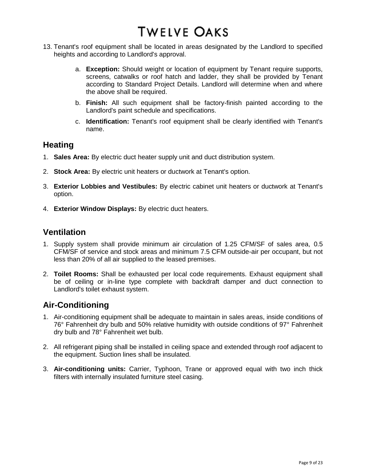- 13. Tenant's roof equipment shall be located in areas designated by the Landlord to specified heights and according to Landlord's approval.
	- a. **Exception:** Should weight or location of equipment by Tenant require supports, screens, catwalks or roof hatch and ladder, they shall be provided by Tenant according to Standard Project Details. Landlord will determine when and where the above shall be required.
	- b. **Finish:** All such equipment shall be factory-finish painted according to the Landlord's paint schedule and specifications.
	- c. **Identification:** Tenant's roof equipment shall be clearly identified with Tenant's name.

### **Heating**

- 1. **Sales Area:** By electric duct heater supply unit and duct distribution system.
- 2. **Stock Area:** By electric unit heaters or ductwork at Tenant's option.
- 3. **Exterior Lobbies and Vestibules:** By electric cabinet unit heaters or ductwork at Tenant's option.
- 4. **Exterior Window Displays:** By electric duct heaters.

## **Ventilation**

- 1. Supply system shall provide minimum air circulation of 1.25 CFM/SF of sales area, 0.5 CFM/SF of service and stock areas and minimum 7.5 CFM outside-air per occupant, but not less than 20% of all air supplied to the leased premises.
- 2. **Toilet Rooms:** Shall be exhausted per local code requirements. Exhaust equipment shall be of ceiling or in-line type complete with backdraft damper and duct connection to Landlord's toilet exhaust system.

## **Air-Conditioning**

- 1. Air-conditioning equipment shall be adequate to maintain in sales areas, inside conditions of 76° Fahrenheit dry bulb and 50% relative humidity with outside conditions of 97° Fahrenheit dry bulb and 78° Fahrenheit wet bulb.
- 2. All refrigerant piping shall be installed in ceiling space and extended through roof adjacent to the equipment. Suction lines shall be insulated.
- 3. **Air-conditioning units:** Carrier, Typhoon, Trane or approved equal with two inch thick filters with internally insulated furniture steel casing.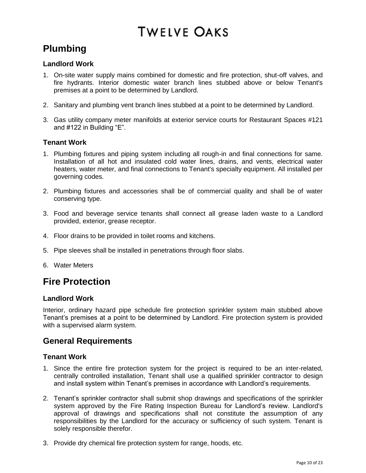# **Plumbing**

### **Landlord Work**

- 1. On-site water supply mains combined for domestic and fire protection, shut-off valves, and fire hydrants. Interior domestic water branch lines stubbed above or below Tenant's premises at a point to be determined by Landlord.
- 2. Sanitary and plumbing vent branch lines stubbed at a point to be determined by Landlord.
- 3. Gas utility company meter manifolds at exterior service courts for Restaurant Spaces #121 and #122 in Building "E".

#### **Tenant Work**

- 1. Plumbing fixtures and piping system including all rough-in and final connections for same. Installation of all hot and insulated cold water lines, drains, and vents, electrical water heaters, water meter, and final connections to Tenant's specialty equipment. All installed per governing codes.
- 2. Plumbing fixtures and accessories shall be of commercial quality and shall be of water conserving type.
- 3. Food and beverage service tenants shall connect all grease laden waste to a Landlord provided, exterior, grease receptor.
- 4. Floor drains to be provided in toilet rooms and kitchens.
- 5. Pipe sleeves shall be installed in penetrations through floor slabs.
- 6. Water Meters

# **Fire Protection**

#### **Landlord Work**

Interior, ordinary hazard pipe schedule fire protection sprinkler system main stubbed above Tenant's premises at a point to be determined by Landlord. Fire protection system is provided with a supervised alarm system.

## **General Requirements**

#### **Tenant Work**

- 1. Since the entire fire protection system for the project is required to be an inter-related, centrally controlled installation, Tenant shall use a qualified sprinkler contractor to design and install system within Tenant's premises in accordance with Landlord's requirements.
- 2. Tenant's sprinkler contractor shall submit shop drawings and specifications of the sprinkler system approved by the Fire Rating Inspection Bureau for Landlord's review. Landlord's approval of drawings and specifications shall not constitute the assumption of any responsibilities by the Landlord for the accuracy or sufficiency of such system. Tenant is solely responsible therefor.
- 3. Provide dry chemical fire protection system for range, hoods, etc.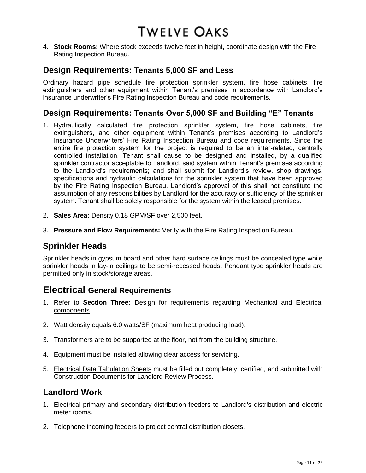4. **Stock Rooms:** Where stock exceeds twelve feet in height, coordinate design with the Fire Rating Inspection Bureau.

## **Design Requirements: Tenants 5,000 SF and Less**

Ordinary hazard pipe schedule fire protection sprinkler system, fire hose cabinets, fire extinguishers and other equipment within Tenant's premises in accordance with Landlord's insurance underwriter's Fire Rating Inspection Bureau and code requirements.

### **Design Requirements: Tenants Over 5,000 SF and Building "E" Tenants**

- 1. Hydraulically calculated fire protection sprinkler system, fire hose cabinets, fire extinguishers, and other equipment within Tenant's premises according to Landlord's Insurance Underwriters' Fire Rating Inspection Bureau and code requirements. Since the entire fire protection system for the project is required to be an inter-related, centrally controlled installation, Tenant shall cause to be designed and installed, by a qualified sprinkler contractor acceptable to Landlord, said system within Tenant's premises according to the Landlord's requirements; and shall submit for Landlord's review, shop drawings, specifications and hydraulic calculations for the sprinkler system that have been approved by the Fire Rating Inspection Bureau. Landlord's approval of this shall not constitute the assumption of any responsibilities by Landlord for the accuracy or sufficiency of the sprinkler system. Tenant shall be solely responsible for the system within the leased premises.
- 2. **Sales Area:** Density 0.18 GPM/SF over 2,500 feet.
- 3. **Pressure and Flow Requirements:** Verify with the Fire Rating Inspection Bureau.

## **Sprinkler Heads**

Sprinkler heads in gypsum board and other hard surface ceilings must be concealed type while sprinkler heads in lay-in ceilings to be semi-recessed heads. Pendant type sprinkler heads are permitted only in stock/storage areas.

# **Electrical General Requirements**

- 1. Refer to **Section Three:** Design for requirements regarding Mechanical and Electrical components.
- 2. Watt density equals 6.0 watts/SF (maximum heat producing load).
- 3. Transformers are to be supported at the floor, not from the building structure.
- 4. Equipment must be installed allowing clear access for servicing.
- 5. Electrical Data Tabulation Sheets must be filled out completely, certified, and submitted with Construction Documents for Landlord Review Process.

### **Landlord Work**

- 1. Electrical primary and secondary distribution feeders to Landlord's distribution and electric meter rooms.
- 2. Telephone incoming feeders to project central distribution closets.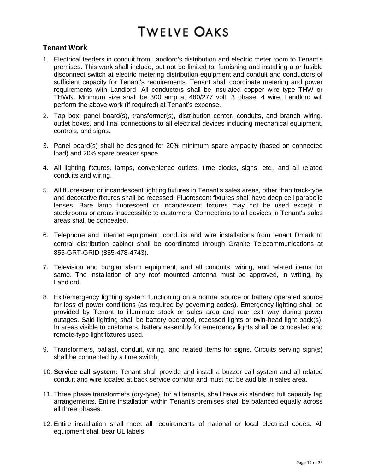#### **Tenant Work**

- 1. Electrical feeders in conduit from Landlord's distribution and electric meter room to Tenant's premises. This work shall include, but not be limited to, furnishing and installing a or fusible disconnect switch at electric metering distribution equipment and conduit and conductors of sufficient capacity for Tenant's requirements. Tenant shall coordinate metering and power requirements with Landlord. All conductors shall be insulated copper wire type THW or THWN. Minimum size shall be 300 amp at 480/277 volt, 3 phase, 4 wire. Landlord will perform the above work (if required) at Tenant's expense.
- 2. Tap box, panel board(s), transformer(s), distribution center, conduits, and branch wiring, outlet boxes, and final connections to all electrical devices including mechanical equipment, controls, and signs.
- 3. Panel board(s) shall be designed for 20% minimum spare ampacity (based on connected load) and 20% spare breaker space.
- 4. All lighting fixtures, lamps, convenience outlets, time clocks, signs, etc., and all related conduits and wiring.
- 5. All fluorescent or incandescent lighting fixtures in Tenant's sales areas, other than track-type and decorative fixtures shall be recessed. Fluorescent fixtures shall have deep cell parabolic lenses. Bare lamp fluorescent or incandescent fixtures may not be used except in stockrooms or areas inaccessible to customers. Connections to all devices in Tenant's sales areas shall be concealed.
- 6. Telephone and Internet equipment, conduits and wire installations from tenant Dmark to central distribution cabinet shall be coordinated through Granite Telecommunications at 855-GRT-GRID (855-478-4743).
- 7. Television and burglar alarm equipment, and all conduits, wiring, and related items for same. The installation of any roof mounted antenna must be approved, in writing, by Landlord.
- 8. Exit/emergency lighting system functioning on a normal source or battery operated source for loss of power conditions (as required by governing codes). Emergency lighting shall be provided by Tenant to illuminate stock or sales area and rear exit way during power outages. Said lighting shall be battery operated, recessed lights or twin-head light pack(s). In areas visible to customers, battery assembly for emergency lights shall be concealed and remote-type light fixtures used.
- 9. Transformers, ballast, conduit, wiring, and related items for signs. Circuits serving sign(s) shall be connected by a time switch.
- 10. **Service call system:** Tenant shall provide and install a buzzer call system and all related conduit and wire located at back service corridor and must not be audible in sales area.
- 11. Three phase transformers (dry-type), for all tenants, shall have six standard full capacity tap arrangements. Entire installation within Tenant's premises shall be balanced equally across all three phases.
- 12. Entire installation shall meet all requirements of national or local electrical codes. All equipment shall bear UL labels.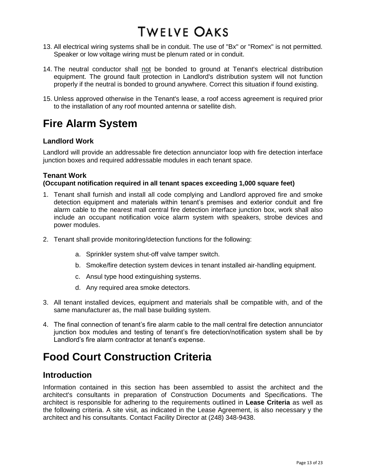- 13. All electrical wiring systems shall be in conduit. The use of "Bx" or "Romex" is not permitted. Speaker or low voltage wiring must be plenum rated or in conduit.
- 14. The neutral conductor shall not be bonded to ground at Tenant's electrical distribution equipment. The ground fault protection in Landlord's distribution system will not function properly if the neutral is bonded to ground anywhere. Correct this situation if found existing.
- 15. Unless approved otherwise in the Tenant's lease, a roof access agreement is required prior to the installation of any roof mounted antenna or satellite dish.

# **Fire Alarm System**

#### **Landlord Work**

Landlord will provide an addressable fire detection annunciator loop with fire detection interface junction boxes and required addressable modules in each tenant space.

#### **Tenant Work**

#### **(Occupant notification required in all tenant spaces exceeding 1,000 square feet)**

- 1. Tenant shall furnish and install all code complying and Landlord approved fire and smoke detection equipment and materials within tenant's premises and exterior conduit and fire alarm cable to the nearest mall central fire detection interface junction box, work shall also include an occupant notification voice alarm system with speakers, strobe devices and power modules.
- 2. Tenant shall provide monitoring/detection functions for the following:
	- a. Sprinkler system shut-off valve tamper switch.
	- b. Smoke/fire detection system devices in tenant installed air-handling equipment.
	- c. Ansul type hood extinguishing systems.
	- d. Any required area smoke detectors.
- 3. All tenant installed devices, equipment and materials shall be compatible with, and of the same manufacturer as, the mall base building system.
- 4. The final connection of tenant's fire alarm cable to the mall central fire detection annunciator junction box modules and testing of tenant's fire detection/notification system shall be by Landlord's fire alarm contractor at tenant's expense.

# **Food Court Construction Criteria**

### **Introduction**

Information contained in this section has been assembled to assist the architect and the architect's consultants in preparation of Construction Documents and Specifications. The architect is responsible for adhering to the requirements outlined in **Lease Criteria** as well as the following criteria. A site visit, as indicated in the Lease Agreement, is also necessary y the architect and his consultants. Contact Facility Director at (248) 348-9438.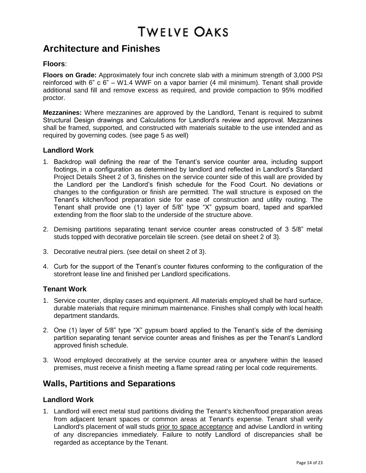# **Architecture and Finishes**

#### **Floors**:

**Floors on Grade:** Approximately four inch concrete slab with a minimum strength of 3,000 PSI reinforced with 6" c  $6" - W1.4$  WWF on a vapor barrier (4 mil minimum). Tenant shall provide additional sand fill and remove excess as required, and provide compaction to 95% modified proctor.

**Mezzanines:** Where mezzanines are approved by the Landlord, Tenant is required to submit Structural Design drawings and Calculations for Landlord's review and approval. Mezzanines shall be framed, supported, and constructed with materials suitable to the use intended and as required by governing codes. (see page 5 as well)

#### **Landlord Work**

- 1. Backdrop wall defining the rear of the Tenant's service counter area, including support footings, in a configuration as determined by landlord and reflected in Landlord's Standard Project Details Sheet 2 of 3, finishes on the service counter side of this wall are provided by the Landlord per the Landlord's finish schedule for the Food Court. No deviations or changes to the configuration or finish are permitted. The wall structure is exposed on the Tenant's kitchen/food preparation side for ease of construction and utility routing. The Tenant shall provide one (1) layer of 5/8" type "X" gypsum board, taped and sparkled extending from the floor slab to the underside of the structure above.
- 2. Demising partitions separating tenant service counter areas constructed of 3 5/8" metal studs topped with decorative porcelain tile screen. (see detail on sheet 2 of 3).
- 3. Decorative neutral piers. (see detail on sheet 2 of 3).
- 4. Curb for the support of the Tenant's counter fixtures conforming to the configuration of the storefront lease line and finished per Landlord specifications.

#### **Tenant Work**

- 1. Service counter, display cases and equipment. All materials employed shall be hard surface, durable materials that require minimum maintenance. Finishes shall comply with local health department standards.
- 2. One (1) layer of 5/8" type "X" gypsum board applied to the Tenant's side of the demising partition separating tenant service counter areas and finishes as per the Tenant's Landlord approved finish schedule.
- 3. Wood employed decoratively at the service counter area or anywhere within the leased premises, must receive a finish meeting a flame spread rating per local code requirements.

## **Walls, Partitions and Separations**

#### **Landlord Work**

1. Landlord will erect metal stud partitions dividing the Tenant's kitchen/food preparation areas from adjacent tenant spaces or common areas at Tenant's expense. Tenant shall verify Landlord's placement of wall studs prior to space acceptance and advise Landlord in writing of any discrepancies immediately. Failure to notify Landlord of discrepancies shall be regarded as acceptance by the Tenant.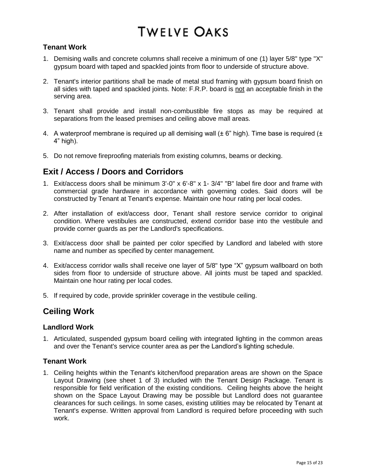#### **Tenant Work**

- 1. Demising walls and concrete columns shall receive a minimum of one (1) layer 5/8" type "X" gypsum board with taped and spackled joints from floor to underside of structure above.
- 2. Tenant's interior partitions shall be made of metal stud framing with gypsum board finish on all sides with taped and spackled joints. Note: F.R.P. board is not an acceptable finish in the serving area.
- 3. Tenant shall provide and install non-combustible fire stops as may be required at separations from the leased premises and ceiling above mall areas.
- 4. A waterproof membrane is required up all demising wall  $(\pm 6)$ " high). Time base is required  $(\pm$ 4" high).
- 5. Do not remove fireproofing materials from existing columns, beams or decking.

## **Exit / Access / Doors and Corridors**

- 1. Exit/access doors shall be minimum 3'-0" x 6'-8" x 1- 3/4" "B" label fire door and frame with commercial grade hardware in accordance with governing codes. Said doors will be constructed by Tenant at Tenant's expense. Maintain one hour rating per local codes.
- 2. After installation of exit/access door, Tenant shall restore service corridor to original condition. Where vestibules are constructed, extend corridor base into the vestibule and provide corner guards as per the Landlord's specifications.
- 3. Exit/access door shall be painted per color specified by Landlord and labeled with store name and number as specified by center management.
- 4. Exit/access corridor walls shall receive one layer of 5/8" type "X" gypsum wallboard on both sides from floor to underside of structure above. All joints must be taped and spackled. Maintain one hour rating per local codes.
- 5. If required by code, provide sprinkler coverage in the vestibule ceiling.

## **Ceiling Work**

#### **Landlord Work**

1. Articulated, suspended gypsum board ceiling with integrated lighting in the common areas and over the Tenant's service counter area as per the Landlord's lighting schedule.

#### **Tenant Work**

1. Ceiling heights within the Tenant's kitchen/food preparation areas are shown on the Space Layout Drawing (see sheet 1 of 3) included with the Tenant Design Package. Tenant is responsible for field verification of the existing conditions. Ceiling heights above the height shown on the Space Layout Drawing may be possible but Landlord does not guarantee clearances for such ceilings. In some cases, existing utilities may be relocated by Tenant at Tenant's expense. Written approval from Landlord is required before proceeding with such work.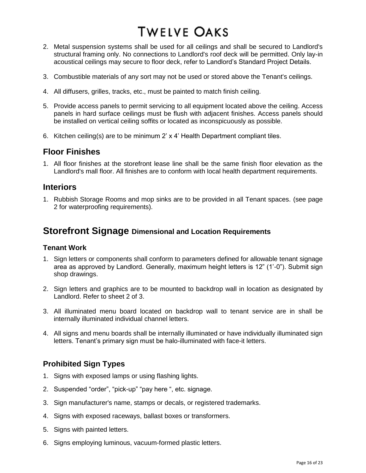- 2. Metal suspension systems shall be used for all ceilings and shall be secured to Landlord's structural framing only. No connections to Landlord's roof deck will be permitted. Only lay-in acoustical ceilings may secure to floor deck, refer to Landlord's Standard Project Details.
- 3. Combustible materials of any sort may not be used or stored above the Tenant's ceilings.
- 4. All diffusers, grilles, tracks, etc., must be painted to match finish ceiling.
- 5. Provide access panels to permit servicing to all equipment located above the ceiling. Access panels in hard surface ceilings must be flush with adjacent finishes. Access panels should be installed on vertical ceiling soffits or located as inconspicuously as possible.
- 6. Kitchen ceiling(s) are to be minimum 2' x 4' Health Department compliant tiles.

### **Floor Finishes**

1. All floor finishes at the storefront lease line shall be the same finish floor elevation as the Landlord's mall floor. All finishes are to conform with local health department requirements.

### **Interiors**

1. Rubbish Storage Rooms and mop sinks are to be provided in all Tenant spaces. (see page 2 for waterproofing requirements).

## **Storefront Signage Dimensional and Location Requirements**

#### **Tenant Work**

- 1. Sign letters or components shall conform to parameters defined for allowable tenant signage area as approved by Landlord. Generally, maximum height letters is 12" (1'-0"). Submit sign shop drawings.
- 2. Sign letters and graphics are to be mounted to backdrop wall in location as designated by Landlord. Refer to sheet 2 of 3.
- 3. All illuminated menu board located on backdrop wall to tenant service are in shall be internally illuminated individual channel letters.
- 4. All signs and menu boards shall be internally illuminated or have individually illuminated sign letters. Tenant's primary sign must be halo-illuminated with face-it letters.

### **Prohibited Sign Types**

- 1. Signs with exposed lamps or using flashing lights.
- 2. Suspended "order", "pick-up" "pay here ", etc. signage.
- 3. Sign manufacturer's name, stamps or decals, or registered trademarks.
- 4. Signs with exposed raceways, ballast boxes or transformers.
- 5. Signs with painted letters.
- 6. Signs employing luminous, vacuum-formed plastic letters.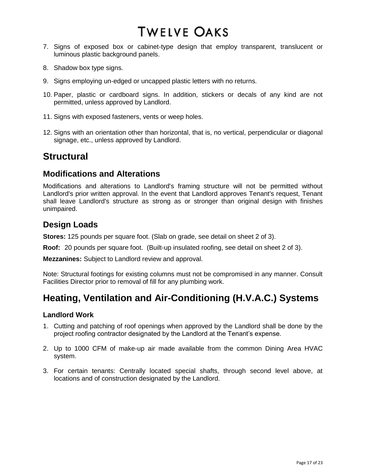- 7. Signs of exposed box or cabinet-type design that employ transparent, translucent or luminous plastic background panels.
- 8. Shadow box type signs.
- 9. Signs employing un-edged or uncapped plastic letters with no returns.
- 10. Paper, plastic or cardboard signs. In addition, stickers or decals of any kind are not permitted, unless approved by Landlord.
- 11. Signs with exposed fasteners, vents or weep holes.
- 12. Signs with an orientation other than horizontal, that is, no vertical, perpendicular or diagonal signage, etc., unless approved by Landlord.

# **Structural**

#### **Modifications and Alterations**

Modifications and alterations to Landlord's framing structure will not be permitted without Landlord's prior written approval. In the event that Landlord approves Tenant's request, Tenant shall leave Landlord's structure as strong as or stronger than original design with finishes unimpaired.

## **Design Loads**

**Stores:** 125 pounds per square foot. (Slab on grade, see detail on sheet 2 of 3).

**Roof:** 20 pounds per square foot. (Built-up insulated roofing, see detail on sheet 2 of 3).

**Mezzanines:** Subject to Landlord review and approval.

Note: Structural footings for existing columns must not be compromised in any manner. Consult Facilities Director prior to removal of fill for any plumbing work.

# **Heating, Ventilation and Air-Conditioning (H.V.A.C.) Systems**

#### **Landlord Work**

- 1. Cutting and patching of roof openings when approved by the Landlord shall be done by the project roofing contractor designated by the Landlord at the Tenant's expense.
- 2. Up to 1000 CFM of make-up air made available from the common Dining Area HVAC system.
- 3. For certain tenants: Centrally located special shafts, through second level above, at locations and of construction designated by the Landlord.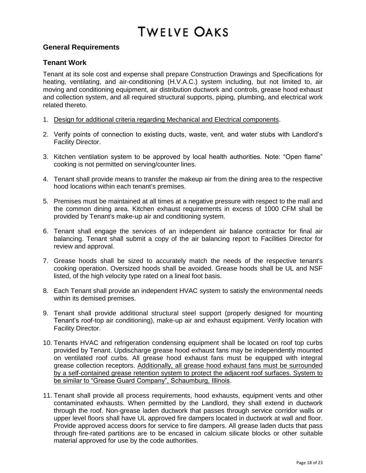#### **General Requirements**

#### **Tenant Work**

Tenant at its sole cost and expense shall prepare Construction Drawings and Specifications for heating, ventilating, and air-conditioning (H.V.A.C.) system including, but not limited to, air moving and conditioning equipment, air distribution ductwork and controls, grease hood exhaust and collection system, and all required structural supports, piping, plumbing, and electrical work related thereto.

- 1. Design for additional criteria regarding Mechanical and Electrical components.
- 2. Verify points of connection to existing ducts, waste, vent, and water stubs with Landlord's Facility Director.
- 3. Kitchen ventilation system to be approved by local health authorities. Note: "Open flame" cooking is not permitted on serving/counter lines.
- 4. Tenant shall provide means to transfer the makeup air from the dining area to the respective hood locations within each tenant's premises.
- 5. Premises must be maintained at all times at a negative pressure with respect to the mall and the common dining area. Kitchen exhaust requirements in excess of 1000 CFM shall be provided by Tenant's make-up air and conditioning system.
- 6. Tenant shall engage the services of an independent air balance contractor for final air balancing. Tenant shall submit a copy of the air balancing report to Facilities Director for review and approval.
- 7. Grease hoods shall be sized to accurately match the needs of the respective tenant's cooking operation. Oversized hoods shall be avoided. Grease hoods shall be UL and NSF listed, of the high velocity type rated on a lineal foot basis.
- 8. Each Tenant shall provide an independent HVAC system to satisfy the environmental needs within its demised premises.
- 9. Tenant shall provide additional structural steel support (properly designed for mounting Tenant's roof-top air conditioning), make-up air and exhaust equipment. Verify location with Facility Director.
- 10. Tenants HVAC and refrigeration condensing equipment shall be located on roof top curbs provided by Tenant. Updischarge grease hood exhaust fans may be independently mounted on ventilated roof curbs. All grease hood exhaust fans must be equipped with integral grease collection receptors. Additionally, all grease hood exhaust fans must be surrounded by a self-contained grease retention system to protect the adjacent roof surfaces. System to be similar to "Grease Guard Company", Schaumburg, Illinois.
- 11. Tenant shall provide all process requirements, hood exhausts, equipment vents and other contaminated exhausts. When permitted by the Landlord, they shall extend in ductwork through the roof. Non-grease laden ductwork that passes through service corridor walls or upper level floors shall have UL approved fire dampers located in ductwork at wall and floor. Provide approved access doors for service to fire dampers. All grease laden ducts that pass through fire-rated partitions are to be encased in calcium silicate blocks or other suitable material approved for use by the code authorities.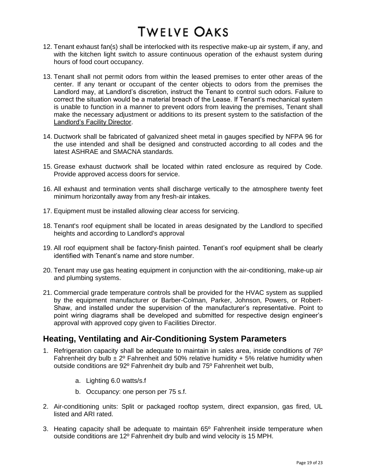- 12. Tenant exhaust fan(s) shall be interlocked with its respective make-up air system, if any, and with the kitchen light switch to assure continuous operation of the exhaust system during hours of food court occupancy.
- 13. Tenant shall not permit odors from within the leased premises to enter other areas of the center. If any tenant or occupant of the center objects to odors from the premises the Landlord may, at Landlord's discretion, instruct the Tenant to control such odors. Failure to correct the situation would be a material breach of the Lease. If Tenant's mechanical system is unable to function in a manner to prevent odors from leaving the premises, Tenant shall make the necessary adjustment or additions to its present system to the satisfaction of the Landlord's Facility Director.
- 14. Ductwork shall be fabricated of galvanized sheet metal in gauges specified by NFPA 96 for the use intended and shall be designed and constructed according to all codes and the latest ASHRAE and SMACNA standards.
- 15. Grease exhaust ductwork shall be located within rated enclosure as required by Code. Provide approved access doors for service.
- 16. All exhaust and termination vents shall discharge vertically to the atmosphere twenty feet minimum horizontally away from any fresh-air intakes.
- 17. Equipment must be installed allowing clear access for servicing.
- 18. Tenant's roof equipment shall be located in areas designated by the Landlord to specified heights and according to Landlord's approval
- 19. All roof equipment shall be factory-finish painted. Tenant's roof equipment shall be clearly identified with Tenant's name and store number.
- 20. Tenant may use gas heating equipment in conjunction with the air-conditioning, make-up air and plumbing systems.
- 21. Commercial grade temperature controls shall be provided for the HVAC system as supplied by the equipment manufacturer or Barber-Colman, Parker, Johnson, Powers, or Robert-Shaw, and installed under the supervision of the manufacturer's representative. Point to point wiring diagrams shall be developed and submitted for respective design engineer's approval with approved copy given to Facilities Director.

## **Heating, Ventilating and Air-Conditioning System Parameters**

- 1. Refrigeration capacity shall be adequate to maintain in sales area, inside conditions of 76º Fahrenheit dry bulb  $\pm 2^{\circ}$  Fahrenheit and 50% relative humidity + 5% relative humidity when outside conditions are 92º Fahrenheit dry bulb and 75º Fahrenheit wet bulb,
	- a. Lighting 6.0 watts/s.f
	- b. Occupancy: one person per 75 s.f.
- 2. Air-conditioning units: Split or packaged rooftop system, direct expansion, gas fired, UL listed and ARI rated.
- 3. Heating capacity shall be adequate to maintain 65º Fahrenheit inside temperature when outside conditions are 12º Fahrenheit dry bulb and wind velocity is 15 MPH.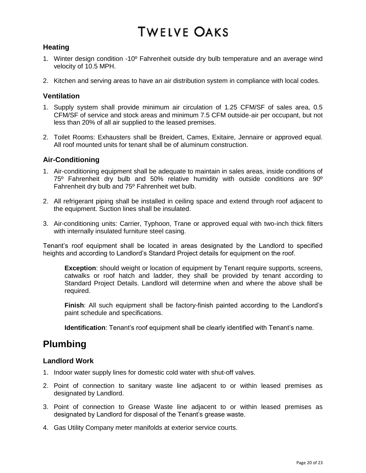#### **Heating**

- 1. Winter design condition -10º Fahrenheit outside dry bulb temperature and an average wind velocity of 10.5 MPH.
- 2. Kitchen and serving areas to have an air distribution system in compliance with local codes.

#### **Ventilation**

- 1. Supply system shall provide minimum air circulation of 1.25 CFM/SF of sales area, 0.5 CFM/SF of service and stock areas and minimum 7.5 CFM outside-air per occupant, but not less than 20% of all air supplied to the leased premises.
- 2. Toilet Rooms: Exhausters shall be Breidert, Cames, Exitaire, Jennaire or approved equal. All roof mounted units for tenant shall be of aluminum construction.

#### **Air-Conditioning**

- 1. Air-conditioning equipment shall be adequate to maintain in sales areas, inside conditions of 75º Fahrenheit dry bulb and 50% relative humidity with outside conditions are 90º Fahrenheit dry bulb and 75º Fahrenheit wet bulb.
- 2. All refrigerant piping shall be installed in ceiling space and extend through roof adjacent to the equipment. Suction lines shall be insulated.
- 3. Air-conditioning units: Carrier, Typhoon, Trane or approved equal with two-inch thick filters with internally insulated furniture steel casing.

Tenant's roof equipment shall be located in areas designated by the Landlord to specified heights and according to Landlord's Standard Project details for equipment on the roof.

**Exception**: should weight or location of equipment by Tenant require supports, screens, catwalks or roof hatch and ladder, they shall be provided by tenant according to Standard Project Details. Landlord will determine when and where the above shall be required.

**Finish**: All such equipment shall be factory-finish painted according to the Landlord's paint schedule and specifications.

**Identification**: Tenant's roof equipment shall be clearly identified with Tenant's name.

# **Plumbing**

#### **Landlord Work**

- 1. Indoor water supply lines for domestic cold water with shut-off valves.
- 2. Point of connection to sanitary waste line adjacent to or within leased premises as designated by Landlord.
- 3. Point of connection to Grease Waste line adjacent to or within leased premises as designated by Landlord for disposal of the Tenant's grease waste.
- 4. Gas Utility Company meter manifolds at exterior service courts.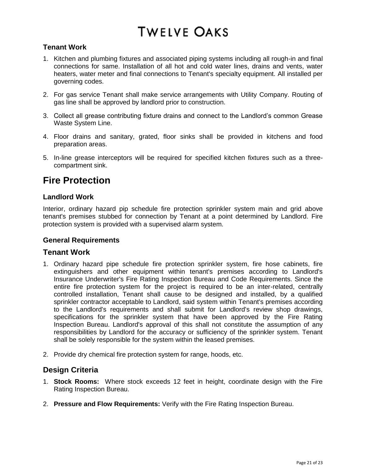#### **Tenant Work**

- 1. Kitchen and plumbing fixtures and associated piping systems including all rough-in and final connections for same. Installation of all hot and cold water lines, drains and vents, water heaters, water meter and final connections to Tenant's specialty equipment. All installed per governing codes.
- 2. For gas service Tenant shall make service arrangements with Utility Company. Routing of gas line shall be approved by landlord prior to construction.
- 3. Collect all grease contributing fixture drains and connect to the Landlord's common Grease Waste System Line.
- 4. Floor drains and sanitary, grated, floor sinks shall be provided in kitchens and food preparation areas.
- 5. In-line grease interceptors will be required for specified kitchen fixtures such as a threecompartment sink.

# **Fire Protection**

#### **Landlord Work**

Interior, ordinary hazard pip schedule fire protection sprinkler system main and grid above tenant's premises stubbed for connection by Tenant at a point determined by Landlord. Fire protection system is provided with a supervised alarm system.

#### **General Requirements**

#### **Tenant Work**

- 1. Ordinary hazard pipe schedule fire protection sprinkler system, fire hose cabinets, fire extinguishers and other equipment within tenant's premises according to Landlord's Insurance Underwriter's Fire Rating Inspection Bureau and Code Requirements. Since the entire fire protection system for the project is required to be an inter-related, centrally controlled installation, Tenant shall cause to be designed and installed, by a qualified sprinkler contractor acceptable to Landlord, said system within Tenant's premises according to the Landlord's requirements and shall submit for Landlord's review shop drawings, specifications for the sprinkler system that have been approved by the Fire Rating Inspection Bureau. Landlord's approval of this shall not constitute the assumption of any responsibilities by Landlord for the accuracy or sufficiency of the sprinkler system. Tenant shall be solely responsible for the system within the leased premises.
- 2. Provide dry chemical fire protection system for range, hoods, etc.

#### **Design Criteria**

- 1. **Stock Rooms:** Where stock exceeds 12 feet in height, coordinate design with the Fire Rating Inspection Bureau.
- 2. **Pressure and Flow Requirements:** Verify with the Fire Rating Inspection Bureau.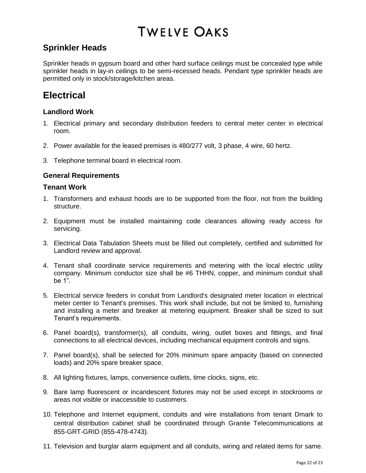## **Sprinkler Heads**

Sprinkler heads in gypsum board and other hard surface ceilings must be concealed type while sprinkler heads in lay-in ceilings to be semi-recessed heads. Pendant type sprinkler heads are permitted only in stock/storage/kitchen areas.

# **Electrical**

#### **Landlord Work**

- 1. Electrical primary and secondary distribution feeders to central meter center in electrical room.
- 2. Power available for the leased premises is 480/277 volt, 3 phase, 4 wire, 60 hertz.
- 3. Telephone terminal board in electrical room.

#### **General Requirements**

#### **Tenant Work**

- 1. Transformers and exhaust hoods are to be supported from the floor, not from the building structure.
- 2. Equipment must be installed maintaining code clearances allowing ready access for servicing.
- 3. Electrical Data Tabulation Sheets must be filled out completely, certified and submitted for Landlord review and approval.
- 4. Tenant shall coordinate service requirements and metering with the local electric utility company. Minimum conductor size shall be #6 THHN, copper, and minimum conduit shall be 1".
- 5. Electrical service feeders in conduit from Landlord's designated meter location in electrical meter center to Tenant's premises. This work shall include, but not be limited to, furnishing and installing a meter and breaker at metering equipment. Breaker shall be sized to suit Tenant's requirements.
- 6. Panel board(s), transformer(s), all conduits, wiring, outlet boxes and fittings, and final connections to all electrical devices, including mechanical equipment controls and signs.
- 7. Panel board(s), shall be selected for 20% minimum spare ampacity (based on connected loads) and 20% spare breaker space.
- 8. All lighting fixtures, lamps, convenience outlets, time clocks, signs, etc.
- 9. Bare lamp fluorescent or incandescent fixtures may not be used except in stockrooms or areas not visible or inaccessible to customers.
- 10. Telephone and Internet equipment, conduits and wire installations from tenant Dmark to central distribution cabinet shall be coordinated through Granite Telecommunications at 855-GRT-GRID (855-478-4743).
- 11. Television and burglar alarm equipment and all conduits, wiring and related items for same.